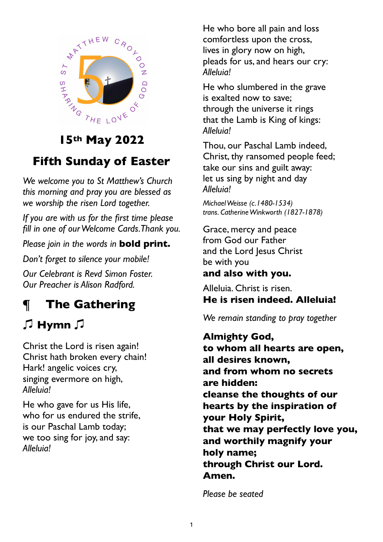

# **15th May 2022**

# **Fifth Sunday of Easter**

*We welcome you to St Matthew's Church this morning and pray you are blessed as we worship the risen Lord together.* 

*If you are with us for the first time please fill in one of our Welcome Cards.Thank you.* 

*Please join in the words in* **bold print.** 

*Don't forget to silence your mobile!*

*Our Celebrant is Revd Simon Foster. Our Preacher is Alison Radford.*

# **¶ The Gathering**

# 㽈 **Hymn** 㽈

Christ the Lord is risen again! Christ hath broken every chain! Hark! angelic voices cry, singing evermore on high, *Alleluia!*

He who gave for us His life, who for us endured the strife, is our Paschal Lamb today; we too sing for joy, and say: *Alleluia!*

He who bore all pain and loss comfortless upon the cross, lives in glory now on high, pleads for us, and hears our cry: *Alleluia!*

He who slumbered in the grave is exalted now to save; through the universe it rings that the Lamb is King of kings: *Alleluia!*

Thou, our Paschal Lamb indeed, Christ, thy ransomed people feed; take our sins and guilt away: let us sing by night and day *Alleluia!*

*Michael Weisse (c.1480-1534) trans. Catherine Winkworth (1827-1878)*

Grace, mercy and peace from God our Father and the Lord Jesus Christ be with you **and also with you.**

Alleluia. Christ is risen. **He is risen indeed. Alleluia!**

*We remain standing to pray together*

**Almighty God, to whom all hearts are open, all desires known, and from whom no secrets are hidden: cleanse the thoughts of our hearts by the inspiration of your Holy Spirit, that we may perfectly love you, and worthily magnify your holy name; through Christ our Lord. Amen.**

*Please be seated*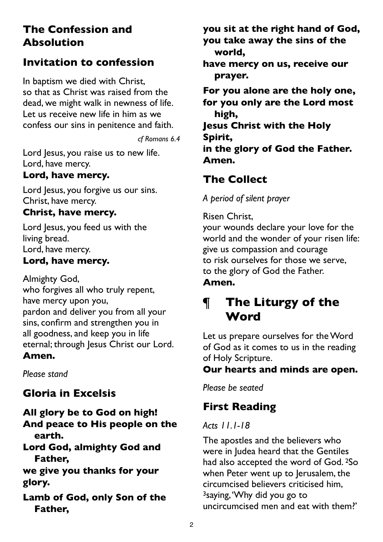### **The Confession and Absolution**

### **Invitation to confession**

In baptism we died with Christ, so that as Christ was raised from the dead, we might walk in newness of life. Let us receive new life in him as we confess our sins in penitence and faith.

*cf Romans 6.4*

Lord Jesus, you raise us to new life. Lord, have mercy.

#### **Lord, have mercy.**

Lord Jesus, you forgive us our sins. Christ, have mercy.

#### **Christ, have mercy.**

Lord Jesus, you feed us with the living bread. Lord, have mercy.

#### **Lord, have mercy.**

Almighty God,

who forgives all who truly repent, have mercy upon you, pardon and deliver you from all your sins, confirm and strengthen you in all goodness, and keep you in life eternal; through Jesus Christ our Lord.

### **Amen.**

*Please stand* 

## **Gloria in Excelsis**

### **All glory be to God on high! And peace to His people on the earth.**

**Lord God, almighty God and Father,**

**we give you thanks for your glory.**

**Lamb of God, only Son of the Father,**

**you sit at the right hand of God, you take away the sins of the world,**

**have mercy on us, receive our prayer.**

**For you alone are the holy one, for you only are the Lord most high, Jesus Christ with the Holy** 

**Spirit,**

**in the glory of God the Father. Amen.**

## **The Collect**

*A period of silent prayer*

Risen Christ,

your wounds declare your love for the world and the wonder of your risen life: give us compassion and courage to risk ourselves for those we serve, to the glory of God the Father.

#### **Amen.**

# **¶ The Liturgy of the Word**

Let us prepare ourselves for the Word of God as it comes to us in the reading of Holy Scripture.

### **Our hearts and minds are open.**

*Please be seated*

## **First Reading**

#### *Acts 11.1-18*

The apostles and the believers who were in Judea heard that the Gentiles had also accepted the word of God. 2So when Peter went up to Jerusalem, the circumcised believers criticised him, 3saying, 'Why did you go to uncircumcised men and eat with them?'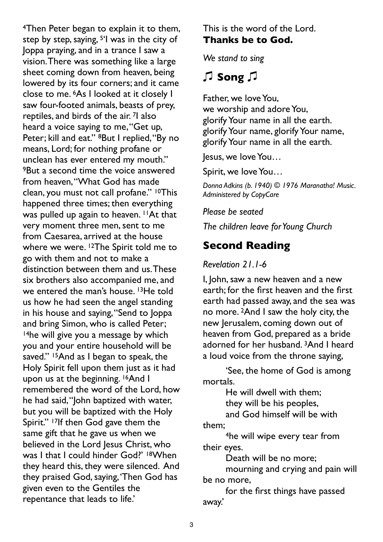4Then Peter began to explain it to them, step by step, saying, 5'I was in the city of Joppa praying, and in a trance I saw a vision. There was something like a large sheet coming down from heaven, being lowered by its four corners; and it came close to me. 6As I looked at it closely I saw four-footed animals, beasts of prey, reptiles, and birds of the air. 7I also heard a voice saying to me, "Get up, Peter; kill and eat." <sup>8</sup>But I replied, "By no means, Lord; for nothing profane or unclean has ever entered my mouth." 9But a second time the voice answered from heaven, "What God has made clean, you must not call profane." 10This happened three times; then everything was pulled up again to heaven. <sup>11</sup>At that very moment three men, sent to me from Caesarea, arrived at the house where we were. 12The Spirit told me to go with them and not to make a distinction between them and us. These six brothers also accompanied me, and we entered the man's house. <sup>13</sup>He told us how he had seen the angel standing in his house and saying, "Send to Joppa and bring Simon, who is called Peter; 14he will give you a message by which you and your entire household will be saved." <sup>15</sup>And as I began to speak, the Holy Spirit fell upon them just as it had upon us at the beginning. 16And I remembered the word of the Lord, how he had said, "John baptized with water, but you will be baptized with the Holy Spirit." <sup>17</sup>If then God gave them the same gift that he gave us when we believed in the Lord Jesus Christ, who was I that I could hinder God?' 18When they heard this, they were silenced. And they praised God, saying, 'Then God has given even to the Gentiles the repentance that leads to life.'

This is the word of the Lord. **Thanks be to God.**

*We stand to sing*

# 㽈 **Song** 㽈

Father, we love You, we worship and adore You, glorify Your name in all the earth. glorify Your name, glorify Your name, glorify Your name in all the earth.

Jesus, we love You…

Spirit, we love You…

*Donna Adkins (b. 1940) © 1976 Maranatha! Music. Administered by CopyCare*

*Please be seated*

*The children leave for Young Church*

## **Second Reading**

#### *Revelation 21.1-6*

I, John, saw a new heaven and a new earth; for the first heaven and the first earth had passed away, and the sea was no more. 2And I saw the holy city, the new Jerusalem, coming down out of heaven from God, prepared as a bride adorned for her husband. 3And I heard a loud voice from the throne saying,

'See, the home of God is among mortals.

He will dwell with them;

they will be his peoples,

and God himself will be with them;

4he will wipe every tear from their eyes.

Death will be no more;

mourning and crying and pain will be no more,

for the first things have passed away.'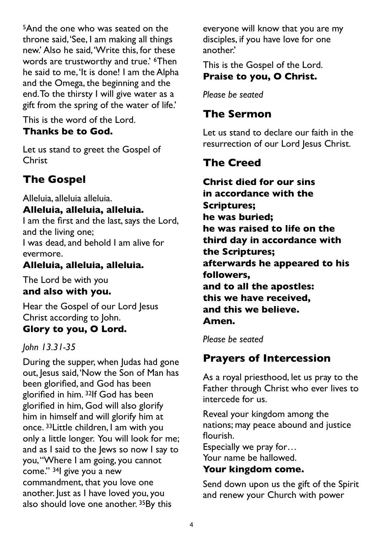5And the one who was seated on the throne said, 'See, I am making all things new.' Also he said, 'Write this, for these words are trustworthy and true.' <sup>6</sup>Then he said to me, 'It is done! I am the Alpha and the Omega, the beginning and the end. To the thirsty I will give water as a gift from the spring of the water of life.'

This is the word of the Lord.

#### **Thanks be to God.**

Let us stand to greet the Gospel of **Christ** 

## **The Gospel**

Alleluia, alleluia alleluia.

#### **Alleluia, alleluia, alleluia.**

I am the first and the last, says the Lord, and the living one; I was dead, and behold I am alive for evermore.

#### **Alleluia, alleluia, alleluia.**

The Lord be with you

#### **and also with you.**

Hear the Gospel of our Lord Jesus Christ according to John. **Glory to you, O Lord.**

#### *John 13.31-35*

During the supper, when Judas had gone out, Jesus said, 'Now the Son of Man has been glorified, and God has been glorified in him. 32If God has been glorified in him, God will also glorify him in himself and will glorify him at once. 33Little children, I am with you only a little longer. You will look for me; and as I said to the Jews so now I say to you, "Where I am going, you cannot come." 34I give you a new commandment, that you love one another. Just as I have loved you, you also should love one another. 35By this

everyone will know that you are my disciples, if you have love for one another.'

This is the Gospel of the Lord. **Praise to you, O Christ.**

*Please be seated* 

### **The Sermon**

Let us stand to declare our faith in the resurrection of our Lord Jesus Christ.

### **The Creed**

**Christ died for our sins in accordance with the Scriptures; he was buried; he was raised to life on the third day in accordance with the Scriptures; afterwards he appeared to his followers, and to all the apostles: this we have received, and this we believe. Amen.**

*Please be seated*

## **Prayers of Intercession**

As a royal priesthood, let us pray to the Father through Christ who ever lives to intercede for us.

Reveal your kingdom among the nations; may peace abound and justice flourish.

Especially we pray for… Your name be hallowed.

#### **Your kingdom come.**

Send down upon us the gift of the Spirit and renew your Church with power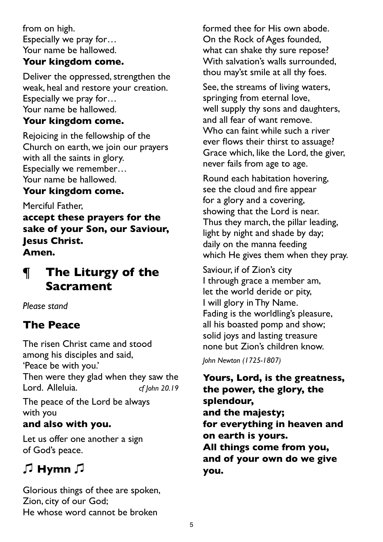from on high. Especially we pray for… Your name be hallowed.

### **Your kingdom come.**

Deliver the oppressed, strengthen the weak, heal and restore your creation. Especially we pray for… Your name be hallowed.

#### **Your kingdom come.**

Rejoicing in the fellowship of the Church on earth, we join our prayers with all the saints in glory. Especially we remember… Your name be hallowed.

#### **Your kingdom come.**

Merciful Father,

**accept these prayers for the sake of your Son, our Saviour, Jesus Christ. Amen.**

# **¶ The Liturgy of the Sacrament**

*Please stand* 

# **The Peace**

The risen Christ came and stood among his disciples and said, 'Peace be with you.' Then were they glad when they saw the Lord. Alleluia. *cf John 20.19* The peace of the Lord be always with you

#### **and also with you.**

Let us offer one another a sign of God's peace.

# 㽈 **Hymn** 㽈

Glorious things of thee are spoken, Zion, city of our God; He whose word cannot be broken

formed thee for His own abode. On the Rock of Ages founded, what can shake thy sure repose? With salvation's walls surrounded, thou may'st smile at all thy foes.

See, the streams of living waters, springing from eternal love, well supply thy sons and daughters, and all fear of want remove. Who can faint while such a river ever flows their thirst to assuage? Grace which, like the Lord, the giver, never fails from age to age.

Round each habitation hovering, see the cloud and fire appear for a glory and a covering, showing that the Lord is near. Thus they march, the pillar leading, light by night and shade by day; daily on the manna feeding which He gives them when they pray.

Saviour, if of Zion's city I through grace a member am, let the world deride or pity, I will glory in Thy Name. Fading is the worldling's pleasure, all his boasted pomp and show; solid joys and lasting treasure none but Zion's children know.

*John Newton (1725-1807)*

**Yours, Lord, is the greatness, the power, the glory, the splendour, and the majesty; for everything in heaven and on earth is yours. All things come from you, and of your own do we give you.**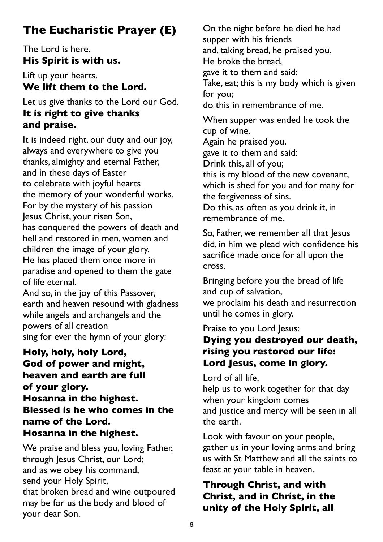# **The Eucharistic Prayer (E)**

The Lord is here. **His Spirit is with us.**

Lift up your hearts. **We lift them to the Lord.**

Let us give thanks to the Lord our God. **It is right to give thanks and praise.**

It is indeed right, our duty and our joy, always and everywhere to give you thanks, almighty and eternal Father, and in these days of Easter to celebrate with joyful hearts the memory of your wonderful works. For by the mystery of his passion Jesus Christ, your risen Son, has conquered the powers of death and hell and restored in men, women and children the image of your glory. He has placed them once more in paradise and opened to them the gate of life eternal.

And so, in the joy of this Passover, earth and heaven resound with gladness while angels and archangels and the powers of all creation sing for ever the hymn of your glory:

**Holy, holy, holy Lord, God of power and might, heaven and earth are full of your glory. Hosanna in the highest. Blessed is he who comes in the name of the Lord. Hosanna in the highest.**

We praise and bless you, loving Father, through Jesus Christ, our Lord; and as we obey his command, send your Holy Spirit, that broken bread and wine outpoured may be for us the body and blood of your dear Son.

On the night before he died he had supper with his friends and, taking bread, he praised you. He broke the bread, gave it to them and said:

Take, eat; this is my body which is given for you;

do this in remembrance of me.

When supper was ended he took the cup of wine.

Again he praised you,

gave it to them and said:

Drink this, all of you;

this is my blood of the new covenant, which is shed for you and for many for the forgiveness of sins.

Do this, as often as you drink it, in remembrance of me.

So, Father, we remember all that Jesus did, in him we plead with confidence his sacrifice made once for all upon the cross.

Bringing before you the bread of life and cup of salvation,

we proclaim his death and resurrection until he comes in glory.

Praise to you Lord Jesus:

### **Dying you destroyed our death, rising you restored our life: Lord Jesus, come in glory.**

Lord of all life,

help us to work together for that day when your kingdom comes and justice and mercy will be seen in all the earth.

Look with favour on your people, gather us in your loving arms and bring us with St Matthew and all the saints to feast at your table in heaven.

### **Through Christ, and with Christ, and in Christ, in the unity of the Holy Spirit, all**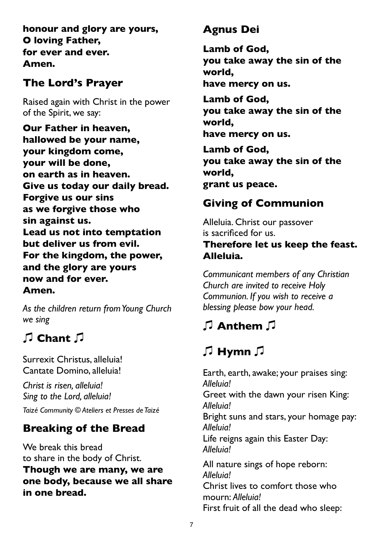**honour and glory are yours, O loving Father, for ever and ever. Amen.**

## **The Lord's Prayer**

Raised again with Christ in the power of the Spirit, we say:

**Our Father in heaven, hallowed be your name, your kingdom come, your will be done, on earth as in heaven. Give us today our daily bread. Forgive us our sins as we forgive those who sin against us. Lead us not into temptation but deliver us from evil. For the kingdom, the power, and the glory are yours now and for ever. Amen.** 

*As the children return from Young Church we sing*

# 㽈 **Chant** 㽈

Surrexit Christus, alleluia! Cantate Domino, alleluia!

*Christ is risen, alleluia! Sing to the Lord, alleluia! Taizé Community © Ateliers et Presses de Taizé*

## **Breaking of the Bread**

We break this bread to share in the body of Christ.

#### **Though we are many, we are one body, because we all share in one bread.**

## **Agnus Dei**

**Lamb of God, you take away the sin of the world, have mercy on us.**

**Lamb of God, you take away the sin of the world, have mercy on us.**

**Lamb of God, you take away the sin of the world, grant us peace.**

# **Giving of Communion**

Alleluia. Christ our passover is sacrificed for us. **Therefore let us keep the feast. Alleluia.**

*Communicant members of any Christian Church are invited to receive Holy Communion. If you wish to receive a blessing please bow your head.*

# 㽈 **Anthem** 㽈

# 㽈 **Hymn** 㽈

Earth, earth, awake; your praises sing: *Alleluia!* Greet with the dawn your risen King: *Alleluia!* Bright suns and stars, your homage pay: *Alleluia!* Life reigns again this Easter Day: *Alleluia!* All nature sings of hope reborn: *Alleluia!* Christ lives to comfort those who mourn: *Alleluia!* First fruit of all the dead who sleep: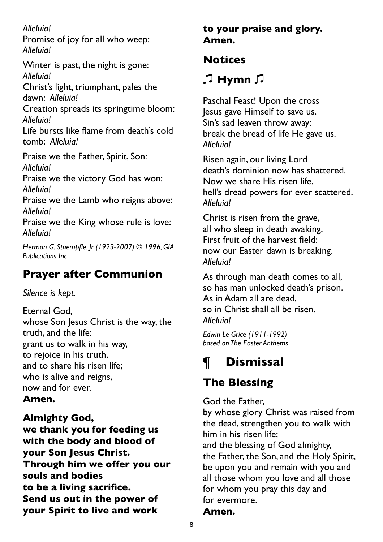#### *Alleluia!*

Promise of joy for all who weep: *Alleluia!*

Winter is past, the night is gone: *Alleluia!*

Christ's light, triumphant, pales the dawn: *Alleluia!*

Creation spreads its springtime bloom: *Alleluia!*

Life bursts like flame from death's cold tomb: *Alleluia!*

Praise we the Father, Spirit, Son: *Alleluia!*

Praise we the victory God has won: *Alleluia!*

Praise we the Lamb who reigns above: *Alleluia!*

Praise we the King whose rule is love: *Alleluia!*

*Herman G. Stuempfle, Jr (1923-2007) © 1996, GIA Publications Inc.*

# **Prayer after Communion**

*Silence is kept.*

Eternal God, whose Son Jesus Christ is the way, the truth, and the life: grant us to walk in his way, to rejoice in his truth, and to share his risen life; who is alive and reigns, now and for ever.

### **Amen.**

**Almighty God, we thank you for feeding us with the body and blood of your Son Jesus Christ. Through him we offer you our souls and bodies to be a living sacrifice. Send us out in the power of your Spirit to live and work**

### **to your praise and glory. Amen.**

## **Notices**

# 㽈 **Hymn** 㽈

Paschal Feast! Upon the cross Jesus gave Himself to save us. Sin's sad leaven throw away: break the bread of life He gave us. *Alleluia!*

Risen again, our living Lord death's dominion now has shattered. Now we share His risen life, hell's dread powers for ever scattered. *Alleluia!*

Christ is risen from the grave, all who sleep in death awaking. First fruit of the harvest field: now our Easter dawn is breaking. *Alleluia!*

As through man death comes to all, so has man unlocked death's prison. As in Adam all are dead, so in Christ shall all be risen. *Alleluia!*

*Edwin Le Grice (1911-1992) based on The Easter Anthems*

# **¶ Dismissal**

# **The Blessing**

God the Father,

by whose glory Christ was raised from the dead, strengthen you to walk with him in his risen life;

and the blessing of God almighty, the Father, the Son, and the Holy Spirit, be upon you and remain with you and all those whom you love and all those for whom you pray this day and for evermore.

#### **Amen.**